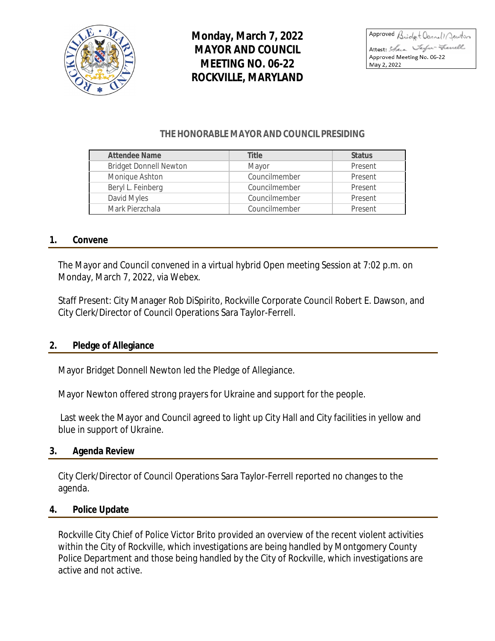

**Monday, March 7, 2022 MAYOR AND COUNCIL MEETING NO. 06-22 ROCKVILLE, MARYLAND**

Approved Bridgt Donnell Jewton Attest: Stara Verfu-French Approved Meeting No. 06-22 May 2, 2022

#### **THE HONORABLE MAYOR AND COUNCIL PRESIDING**

| <b>Attendee Name</b>          | Title         | <b>Status</b> |
|-------------------------------|---------------|---------------|
| <b>Bridget Donnell Newton</b> | Mayor         | Present       |
| Monique Ashton                | Councilmember | Present       |
| Beryl L. Feinberg             | Councilmember | Present       |
| David Myles                   | Councilmember | Present       |
| Mark Pierzchala               | Councilmember | Present       |

#### **1. Convene**

The Mayor and Council convened in a virtual hybrid Open meeting Session at 7:02 p.m. on Monday, March 7, 2022, via Webex.

Staff Present: City Manager Rob DiSpirito, Rockville Corporate Council Robert E. Dawson, and City Clerk/Director of Council Operations Sara Taylor-Ferrell.

#### **2. Pledge of Allegiance**

Mayor Bridget Donnell Newton led the Pledge of Allegiance.

Mayor Newton offered strong prayers for Ukraine and support for the people.

Last week the Mayor and Council agreed to light up City Hall and City facilities in yellow and blue in support of Ukraine.

#### **3. Agenda Review**

City Clerk/Director of Council Operations Sara Taylor-Ferrell reported no changes to the agenda.

#### **4. Police Update**

Rockville City Chief of Police Victor Brito provided an overview of the recent violent activities within the City of Rockville, which investigations are being handled by Montgomery County Police Department and those being handled by the City of Rockville, which investigations are active and not active.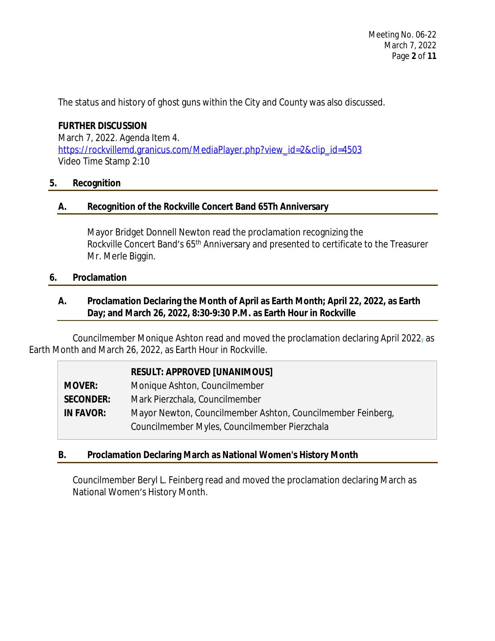The status and history of ghost guns within the City and County was also discussed.

# **FURTHER DISCUSSION**

March 7, 2022. Agenda Item 4. [https://rockvillemd.granicus.com/MediaPlayer.php?view\\_id=2&clip\\_id=4503](https://rockvillemd.granicus.com/MediaPlayer.php?view_id=2&clip_id=4503) [Video Time Stamp 2:10](https://rockvillemd.granicus.com/MediaPlayer.php?view_id=2&clip_id=4503)

#### **[5.](https://rockvillemd.granicus.com/MediaPlayer.php?view_id=2&clip_id=4503) [Recognition](https://rockvillemd.granicus.com/MediaPlayer.php?view_id=2&clip_id=4503)**

#### **[A.](https://rockvillemd.granicus.com/MediaPlayer.php?view_id=2&clip_id=4503) [Recognition of the Rockville Concert Band 65Th Anniversary](https://rockvillemd.granicus.com/MediaPlayer.php?view_id=2&clip_id=4503)**

[Mayor Bridget Donnell Newton read the proclamation](https://rockvillemd.granicus.com/MediaPlayer.php?view_id=2&clip_id=4503) [recognizing the](https://rockvillemd.granicus.com/MediaPlayer.php?view_id=2&clip_id=4503)  [Rockville Concert Band](https://rockvillemd.granicus.com/MediaPlayer.php?view_id=2&clip_id=4503)['](https://rockvillemd.granicus.com/MediaPlayer.php?view_id=2&clip_id=4503)[s 65](https://rockvillemd.granicus.com/MediaPlayer.php?view_id=2&clip_id=4503)<sup>[th](https://rockvillemd.granicus.com/MediaPlayer.php?view_id=2&clip_id=4503)</sup> Anniversary and presented to certificate to the Treasurer [Mr. Merle Biggin.](https://rockvillemd.granicus.com/MediaPlayer.php?view_id=2&clip_id=4503)

#### **[6.](https://rockvillemd.granicus.com/MediaPlayer.php?view_id=2&clip_id=4503) [Proclamation](https://rockvillemd.granicus.com/MediaPlayer.php?view_id=2&clip_id=4503)**

#### **[A.](https://rockvillemd.granicus.com/MediaPlayer.php?view_id=2&clip_id=4503) [Proclamation Declaring the Month of April as Earth Month; April 22, 2022, as Earth](https://rockvillemd.granicus.com/MediaPlayer.php?view_id=2&clip_id=4503)  [Day; and March 26, 2022, 8:30-9:30 P.M. as Earth Hour in Rockville](https://rockvillemd.granicus.com/MediaPlayer.php?view_id=2&clip_id=4503)**

[Councilmember Monique Ashton read and moved](https://rockvillemd.granicus.com/MediaPlayer.php?view_id=2&clip_id=4503) [the proclamation](https://rockvillemd.granicus.com/MediaPlayer.php?view_id=2&clip_id=4503) declaring April 2022 $_7$  [as](https://rockvillemd.granicus.com/MediaPlayer.php?view_id=2&clip_id=4503) [Earth Month and March 26, 2022, as Earth Hour in Rockville.](https://rockvillemd.granicus.com/MediaPlayer.php?view_id=2&clip_id=4503)

|                  | <b>RESULT: APPROVED [UNANIMOUS]</b>                         |
|------------------|-------------------------------------------------------------|
| <b>MOVER:</b>    | Monique Ashton, Councilmember                               |
| <b>SECONDER:</b> | Mark Pierzchala, Councilmember                              |
| <b>IN FAVOR:</b> | Mayor Newton, Councilmember Ashton, Councilmember Feinberg, |
|                  | Councilmember Myles, Councilmember Pierzchala               |

# **[B.](https://rockvillemd.granicus.com/MediaPlayer.php?view_id=2&clip_id=4503) [Proclamation Declaring March as National Women's History Month](https://rockvillemd.granicus.com/MediaPlayer.php?view_id=2&clip_id=4503)**

[Councilmember Beryl L. Feinberg read and moved](https://rockvillemd.granicus.com/MediaPlayer.php?view_id=2&clip_id=4503) [the proclamation](https://rockvillemd.granicus.com/MediaPlayer.php?view_id=2&clip_id=4503) [declaring March as](https://rockvillemd.granicus.com/MediaPlayer.php?view_id=2&clip_id=4503)  [National Women](https://rockvillemd.granicus.com/MediaPlayer.php?view_id=2&clip_id=4503)['](https://rockvillemd.granicus.com/MediaPlayer.php?view_id=2&clip_id=4503)[s History Month.](https://rockvillemd.granicus.com/MediaPlayer.php?view_id=2&clip_id=4503)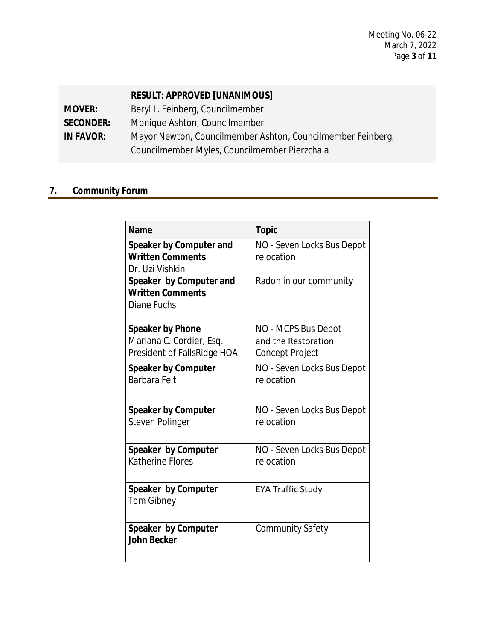|                  | <b>RESULT: APPROVED [UNANIMOUS]</b>                         |
|------------------|-------------------------------------------------------------|
| <b>MOVER:</b>    | Beryl L. Feinberg, Councilmember                            |
| <b>SECONDER:</b> | Monique Ashton, Councilmember                               |
| <b>IN FAVOR:</b> | Mayor Newton, Councilmember Ashton, Councilmember Feinberg, |
|                  | Councilmember Myles, Councilmember Pierzchala               |

# **7. Community Forum**

| <b>Name</b>                                                                        | <b>Topic</b>                                                         |
|------------------------------------------------------------------------------------|----------------------------------------------------------------------|
| Speaker by Computer and<br><b>Written Comments</b><br>Dr. Uzi Vishkin              | NO - Seven Locks Bus Depot<br>relocation                             |
| Speaker by Computer and<br><b>Written Comments</b><br>Diane Fuchs                  | Radon in our community                                               |
| <b>Speaker by Phone</b><br>Mariana C. Cordier, Esq.<br>President of FallsRidge HOA | NO - MCPS Bus Depot<br>and the Restoration<br><b>Concept Project</b> |
| <b>Speaker by Computer</b><br>Barbara Feit                                         | NO - Seven Locks Bus Depot<br>relocation                             |
| <b>Speaker by Computer</b><br>Steven Polinger                                      | NO - Seven Locks Bus Depot<br>relocation                             |
| Speaker by Computer<br><b>Katherine Flores</b>                                     | NO - Seven Locks Bus Depot<br>relocation                             |
| Speaker by Computer<br>Tom Gibney                                                  | <b>EYA Traffic Study</b>                                             |
| Speaker by Computer<br><b>John Becker</b>                                          | <b>Community Safety</b>                                              |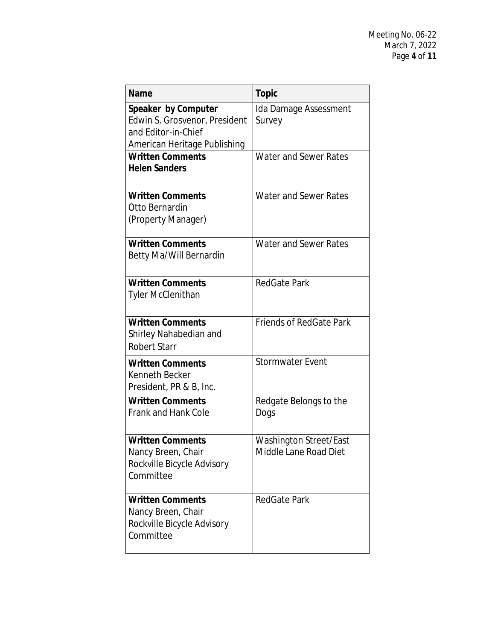| <b>Name</b>                   | <b>Topic</b>                   |
|-------------------------------|--------------------------------|
| Speaker by Computer           | Ida Damage Assessment          |
| Edwin S. Grosvenor, President | Survey                         |
| and Editor-in-Chief           |                                |
| American Heritage Publishing  |                                |
| <b>Written Comments</b>       | <b>Water and Sewer Rates</b>   |
| <b>Helen Sanders</b>          |                                |
| <b>Written Comments</b>       | <b>Water and Sewer Rates</b>   |
| Otto Bernardin                |                                |
| (Property Manager)            |                                |
| <b>Written Comments</b>       | Water and Sewer Rates          |
| Betty Ma/Will Bernardin       |                                |
| <b>Written Comments</b>       | <b>RedGate Park</b>            |
| <b>Tyler McClenithan</b>      |                                |
|                               |                                |
| <b>Written Comments</b>       | <b>Friends of RedGate Park</b> |
| Shirley Nahabedian and        |                                |
| <b>Robert Starr</b>           |                                |
| <b>Written Comments</b>       | <b>Stormwater Event</b>        |
| Kenneth Becker                |                                |
| President, PR & B, Inc.       |                                |
| <b>Written Comments</b>       | Redgate Belongs to the         |
| <b>Frank and Hank Cole</b>    | Dogs                           |
|                               |                                |
| <b>Written Comments</b>       | Washington Street/East         |
| Nancy Breen, Chair            | Middle Lane Road Diet          |
| Rockville Bicycle Advisory    |                                |
| Committee                     |                                |
| <b>Written Comments</b>       | <b>RedGate Park</b>            |
| Nancy Breen, Chair            |                                |
| Rockville Bicycle Advisory    |                                |
| Committee                     |                                |
|                               |                                |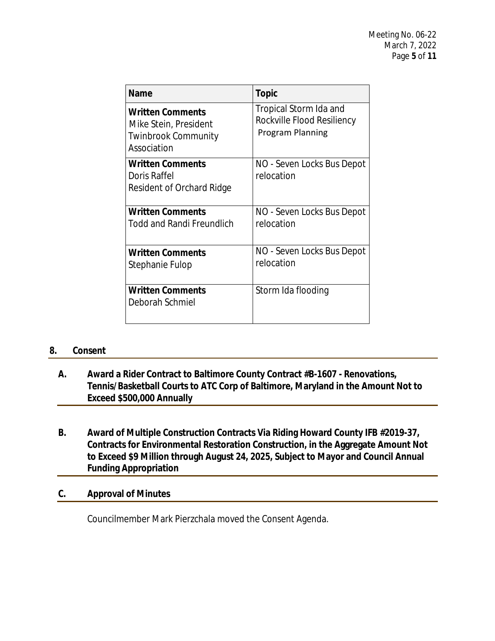| Name                                                                                          | <b>Topic</b>                                                                    |
|-----------------------------------------------------------------------------------------------|---------------------------------------------------------------------------------|
| <b>Written Comments</b><br>Mike Stein, President<br><b>Twinbrook Community</b><br>Association | Tropical Storm Ida and<br>Rockville Flood Resiliency<br><b>Program Planning</b> |
| <b>Written Comments</b><br>Doris Raffel<br>Resident of Orchard Ridge                          | NO - Seven Locks Bus Depot<br>relocation                                        |
| <b>Written Comments</b><br><b>Todd and Randi Freundlich</b>                                   | NO - Seven Locks Bus Depot<br>relocation                                        |
| <b>Written Comments</b><br>Stephanie Fulop                                                    | NO - Seven Locks Bus Depot<br>relocation                                        |
| <b>Written Comments</b><br>Deborah Schmiel                                                    | Storm Ida flooding                                                              |

#### **8. Consent**

- **A. Award a Rider Contract to Baltimore County Contract #B-1607 Renovations, Tennis/Basketball Courts to ATC Corp of Baltimore, Maryland in the Amount Not to Exceed \$500,000 Annually**
- **B. Award of Multiple Construction Contracts Via Riding Howard County IFB #2019-37, Contracts for Environmental Restoration Construction, in the Aggregate Amount Not to Exceed \$9 Million through August 24, 2025, Subject to Mayor and Council Annual Funding Appropriation**

#### **C. Approval of Minutes**

Councilmember Mark Pierzchala moved the Consent Agenda.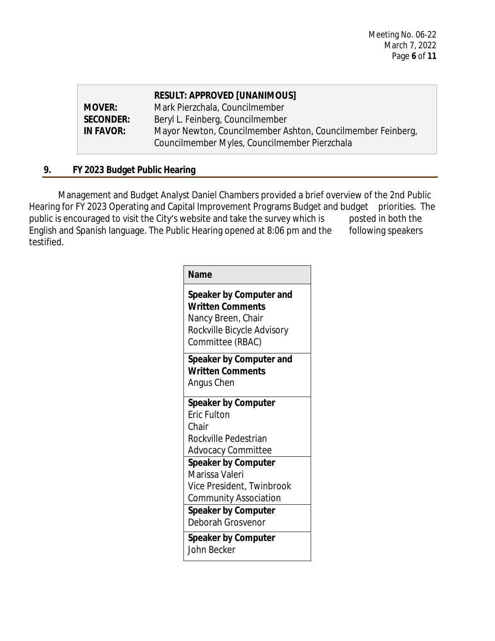|                  | <b>RESULT: APPROVED [UNANIMOUS]</b>                         |
|------------------|-------------------------------------------------------------|
| <b>MOVER:</b>    | Mark Pierzchala, Councilmember                              |
| <b>SECONDER:</b> | Beryl L. Feinberg, Councilmember                            |
| <b>IN FAVOR:</b> | Mayor Newton, Councilmember Ashton, Councilmember Feinberg, |
|                  | Councilmember Myles, Councilmember Pierzchala               |
|                  |                                                             |

# **9. FY 2023 Budget Public Hearing**

Management and Budget Analyst Daniel Chambers provided a brief overview of the 2nd Public Hearing for FY 2023 Operating and Capital Improvement Programs Budget and budget priorities. The public is encouraged to visit the City's website and take the survey which is posted in both the English and Spanish language. The Public Hearing opened at 8:06 pm and the following speakers testified.

| <b>Name</b> |
|-------------|
|-------------|

**Speaker by Computer and Written Comments** Nancy Breen, Chair Rockville Bicycle Advisory Committee (RBAC)

**Speaker by Computer and Written Comments** Angus Chen

**Speaker by Computer** Eric Fulton Chair Rockville Pedestrian Advocacy Committee **Speaker by Computer** Marissa Valeri Vice President, Twinbrook Community Association **Speaker by Computer**

Deborah Grosvenor

**Speaker by Computer** John Becker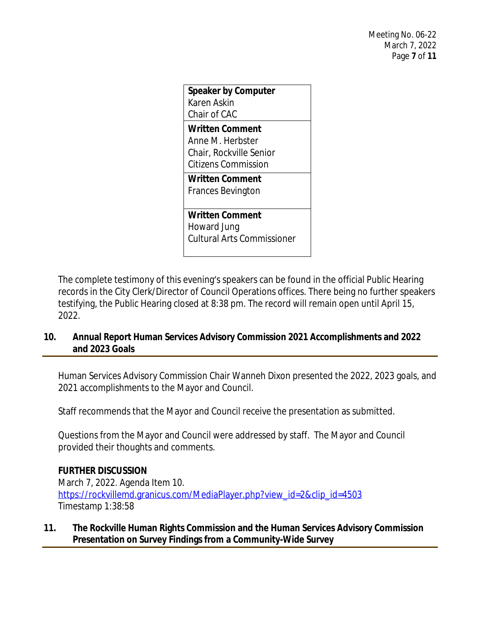| <b>Speaker by Computer</b><br>Karen Askin<br>Chair of CAC                             |
|---------------------------------------------------------------------------------------|
| Written Comment<br>Anne M. Herbster<br>Chair, Rockville Senior<br>Citizens Commission |
| Written Comment<br>Frances Bevington                                                  |
| Written Comment<br>Howard Jung<br><b>Cultural Arts Commissioner</b>                   |

The complete testimony of this evening's speakers can be found in the official Public Hearing records in the City Clerk/Director of Council Operations offices. There being no further speakers testifying, the Public Hearing closed at 8:38 pm. The record will remain open until April 15, 2022.

# **10. Annual Report Human Services Advisory Commission 2021 Accomplishments and 2022 and 2023 Goals**

Human Services Advisory Commission Chair Wanneh Dixon presented the 2022, 2023 goals, and 2021 accomplishments to the Mayor and Council.

Staff recommends that the Mayor and Council receive the presentation as submitted.

Questions from the Mayor and Council were addressed by staff. The Mayor and Council provided their thoughts and comments.

# **FURTHER DISCUSSION**

March 7, 2022. Agenda Item 10. [https://rockvillemd.granicus.com/MediaPlayer.php?view\\_id=2&clip\\_id=4503](https://rockvillemd.granicus.com/MediaPlayer.php?view_id=2&clip_id=4503) [Timestamp 1:38:58](https://rockvillemd.granicus.com/MediaPlayer.php?view_id=2&clip_id=4503)

# **[11.](https://rockvillemd.granicus.com/MediaPlayer.php?view_id=2&clip_id=4503) [The Rockville Human Rights Commission and the Human Services Advisory Commission](https://rockvillemd.granicus.com/MediaPlayer.php?view_id=2&clip_id=4503)  [Presentation on Survey Findings from a Community-Wide Survey](https://rockvillemd.granicus.com/MediaPlayer.php?view_id=2&clip_id=4503)**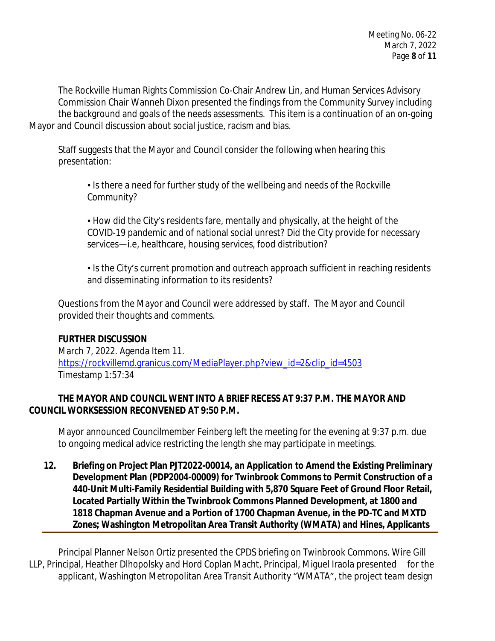The Rockville Human Rights Commission Co-Chair Andrew Lin, and Human Services Advisory Commission Chair Wanneh Dixon presented the findings from the Community Survey including the background and goals of the needs assessments. This item is a continuation of an on-going Mayor and Council discussion about social justice, racism and bias.

Staff suggests that the Mayor and Council consider the following when hearing this presentation:

▪ Is there a need for further study of the wellbeing and needs of the Rockville Community?

▪ How did the City's residents fare, mentally and physically, at the height of the COVID-19 pandemic and of national social unrest? Did the City provide for necessary services—i.e, healthcare, housing services, food distribution?

• Is the City's current promotion and outreach approach sufficient in reaching residents and disseminating information to its residents?

Questions from the Mayor and Council were addressed by staff. The Mayor and Council provided their thoughts and comments.

# **FURTHER DISCUSSION**

March 7, 2022. Agenda Item 11. [https://rockvillemd.granicus.com/MediaPlayer.php?view\\_id=2&clip\\_id=4503](https://rockvillemd.granicus.com/MediaPlayer.php?view_id=2&clip_id=4503) [Timestamp 1:57:34](https://rockvillemd.granicus.com/MediaPlayer.php?view_id=2&clip_id=4503)

# **[THE](https://rockvillemd.granicus.com/MediaPlayer.php?view_id=2&clip_id=4503) [MAYOR AND COUNCIL WENT INTO A BRIEF RECESS AT 9:37 P.M.](https://rockvillemd.granicus.com/MediaPlayer.php?view_id=2&clip_id=4503) [THE MAYOR AND](https://rockvillemd.granicus.com/MediaPlayer.php?view_id=2&clip_id=4503)  [COUNCIL WORKSESSION RECONVENED AT 9:50 P.M.](https://rockvillemd.granicus.com/MediaPlayer.php?view_id=2&clip_id=4503)**

[Mayor announced Councilmember Feinberg left the meeting for the evening at 9:37](https://rockvillemd.granicus.com/MediaPlayer.php?view_id=2&clip_id=4503) [p.m.](https://rockvillemd.granicus.com/MediaPlayer.php?view_id=2&clip_id=4503) [due](https://rockvillemd.granicus.com/MediaPlayer.php?view_id=2&clip_id=4503)  [to ongoing](https://rockvillemd.granicus.com/MediaPlayer.php?view_id=2&clip_id=4503) [medical advice](https://rockvillemd.granicus.com/MediaPlayer.php?view_id=2&clip_id=4503) [restricting the length she may participate in meetings.](https://rockvillemd.granicus.com/MediaPlayer.php?view_id=2&clip_id=4503) 

**[12.](https://rockvillemd.granicus.com/MediaPlayer.php?view_id=2&clip_id=4503) [Briefing on Project Plan PJT2022-00014, an Application to Amend the Existing Preliminary](https://rockvillemd.granicus.com/MediaPlayer.php?view_id=2&clip_id=4503)  [Development Plan \(PDP2004-00009\) for Twinbrook Commons to Permit Construction of a](https://rockvillemd.granicus.com/MediaPlayer.php?view_id=2&clip_id=4503)  [440-Unit Multi-Family Residential Building with 5,870 Square Feet of Ground Floor Retail,](https://rockvillemd.granicus.com/MediaPlayer.php?view_id=2&clip_id=4503)  [Located Partially Within the Twinbrook Commons Planned Development, at 1800 and](https://rockvillemd.granicus.com/MediaPlayer.php?view_id=2&clip_id=4503)  [1818 Chapman Avenue and a Portion of 1700 Chapman Avenue, in the PD-TC and MXTD](https://rockvillemd.granicus.com/MediaPlayer.php?view_id=2&clip_id=4503)  [Zones; Washington Metropolitan Area Transit Authority \(WMATA\) and Hines, Applicants](https://rockvillemd.granicus.com/MediaPlayer.php?view_id=2&clip_id=4503)**

[Principal Planner Nelson Ortiz presented the CPDS briefing on Twinbrook Commons. Wire Gill](https://rockvillemd.granicus.com/MediaPlayer.php?view_id=2&clip_id=4503) [LLP, Principal,](https://rockvillemd.granicus.com/MediaPlayer.php?view_id=2&clip_id=4503) [Heather Dlhopolsky and Hord Coplan](https://rockvillemd.granicus.com/MediaPlayer.php?view_id=2&clip_id=4503) [Macht,](https://rockvillemd.granicus.com/MediaPlayer.php?view_id=2&clip_id=4503) [Principal,](https://rockvillemd.granicus.com/MediaPlayer.php?view_id=2&clip_id=4503) Miguel Iraola presented for the [applicant, Washington Metropolitan Area Transit Authority](https://rockvillemd.granicus.com/MediaPlayer.php?view_id=2&clip_id=4503) "[WMATA](https://rockvillemd.granicus.com/MediaPlayer.php?view_id=2&clip_id=4503)"[, the project team design](https://rockvillemd.granicus.com/MediaPlayer.php?view_id=2&clip_id=4503)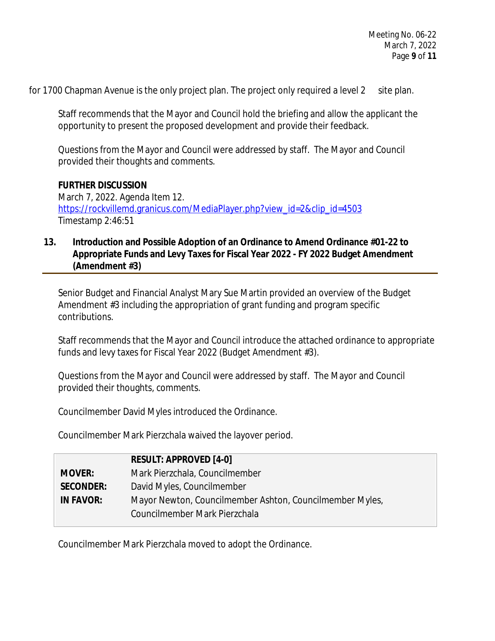for 1700 Chapman Avenue is the only project plan. The project only required a level 2 site plan.

Staff recommends that the Mayor and Council hold the briefing and allow the applicant the opportunity to present the proposed development and provide their feedback.

Questions from the Mayor and Council were addressed by staff. The Mayor and Council provided their thoughts and comments.

#### **FURTHER DISCUSSION**

March 7, 2022. Agenda Item 12. [https://rockvillemd.granicus.com/MediaPlayer.php?view\\_id=2&clip\\_id=4503](https://rockvillemd.granicus.com/MediaPlayer.php?view_id=2&clip_id=4503) [Timestamp 2:46:51](https://rockvillemd.granicus.com/MediaPlayer.php?view_id=2&clip_id=4503)

#### **[13.](https://rockvillemd.granicus.com/MediaPlayer.php?view_id=2&clip_id=4503) [Introduction and Possible Adoption of an Ordinance to Amend Ordinance #01-22 to](https://rockvillemd.granicus.com/MediaPlayer.php?view_id=2&clip_id=4503) [Appropriate Funds and Levy Taxes for Fiscal Year 2022 - FY 2022 Budget Amendment](https://rockvillemd.granicus.com/MediaPlayer.php?view_id=2&clip_id=4503)  [\(Amendment #3\)](https://rockvillemd.granicus.com/MediaPlayer.php?view_id=2&clip_id=4503)**

[Senior Budget and Financial Analyst Mary Sue Martin](https://rockvillemd.granicus.com/MediaPlayer.php?view_id=2&clip_id=4503) [provided an overview](https://rockvillemd.granicus.com/MediaPlayer.php?view_id=2&clip_id=4503) [of the](https://rockvillemd.granicus.com/MediaPlayer.php?view_id=2&clip_id=4503) [Budget](https://rockvillemd.granicus.com/MediaPlayer.php?view_id=2&clip_id=4503)  [Amendment #3 including the appropriation of grant funding and program specific](https://rockvillemd.granicus.com/MediaPlayer.php?view_id=2&clip_id=4503)  [contributions.](https://rockvillemd.granicus.com/MediaPlayer.php?view_id=2&clip_id=4503) 

[Staff recommends that the Mayor and Council introduce the attached ordinance to appropriate](https://rockvillemd.granicus.com/MediaPlayer.php?view_id=2&clip_id=4503) [funds and levy taxes for Fiscal Year 2022 \(Budget Amendment #3\).](https://rockvillemd.granicus.com/MediaPlayer.php?view_id=2&clip_id=4503)

[Questions from the Mayor and Council were addressed by staff. The Mayor and Council](https://rockvillemd.granicus.com/MediaPlayer.php?view_id=2&clip_id=4503)  [provided their thoughts, comments.](https://rockvillemd.granicus.com/MediaPlayer.php?view_id=2&clip_id=4503)

[Councilmember David Myles](https://rockvillemd.granicus.com/MediaPlayer.php?view_id=2&clip_id=4503) [introduced](https://rockvillemd.granicus.com/MediaPlayer.php?view_id=2&clip_id=4503) [the Ordinance.](https://rockvillemd.granicus.com/MediaPlayer.php?view_id=2&clip_id=4503)

[Councilmember Mark Pierzchala waived the layover](https://rockvillemd.granicus.com/MediaPlayer.php?view_id=2&clip_id=4503) [period.](https://rockvillemd.granicus.com/MediaPlayer.php?view_id=2&clip_id=4503)

|                  | <b>RESULT: APPROVED [4-0]</b>                            |
|------------------|----------------------------------------------------------|
| <b>MOVER:</b>    | Mark Pierzchala, Councilmember                           |
| <b>SECONDER:</b> | David Myles, Councilmember                               |
| <b>IN FAVOR:</b> | Mayor Newton, Councilmember Ashton, Councilmember Myles, |
|                  | Councilmember Mark Pierzchala                            |

[Councilmember Mark Pierzchala moved to adopt the Ordinance.](https://rockvillemd.granicus.com/MediaPlayer.php?view_id=2&clip_id=4503)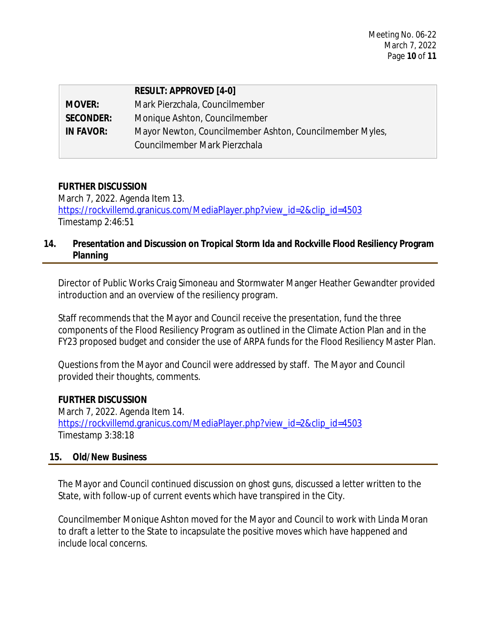|                  | <b>RESULT: APPROVED [4-0]</b>                            |
|------------------|----------------------------------------------------------|
| <b>MOVER:</b>    | Mark Pierzchala, Councilmember                           |
| <b>SECONDER:</b> | Monique Ashton, Councilmember                            |
| <b>IN FAVOR:</b> | Mayor Newton, Councilmember Ashton, Councilmember Myles, |
|                  | Councilmember Mark Pierzchala                            |

#### **FURTHER DISCUSSION**

March 7, 2022. Agenda Item 13. [https://rockvillemd.granicus.com/MediaPlayer.php?view\\_id=2&clip\\_id=4503](https://rockvillemd.granicus.com/MediaPlayer.php?view_id=2&clip_id=4503) [Timestamp 2:46:51](https://rockvillemd.granicus.com/MediaPlayer.php?view_id=2&clip_id=4503)

# **[14.](https://rockvillemd.granicus.com/MediaPlayer.php?view_id=2&clip_id=4503) [Presentation and Discussion on Tropical Storm Ida and Rockville Flood Resiliency Program](https://rockvillemd.granicus.com/MediaPlayer.php?view_id=2&clip_id=4503)  [Planning](https://rockvillemd.granicus.com/MediaPlayer.php?view_id=2&clip_id=4503)**

[Director of Public Works Craig](https://rockvillemd.granicus.com/MediaPlayer.php?view_id=2&clip_id=4503) [Simoneau and Stormwater Manger Heather Gewandter provided](https://rockvillemd.granicus.com/MediaPlayer.php?view_id=2&clip_id=4503) [introduction and an overview of the resiliency program.](https://rockvillemd.granicus.com/MediaPlayer.php?view_id=2&clip_id=4503) 

[Staff recommends that the Mayor and Council receive the presentation, fund the three](https://rockvillemd.granicus.com/MediaPlayer.php?view_id=2&clip_id=4503)  [components of the Flood Resiliency Program as outlined in the Climate Action Plan and in the](https://rockvillemd.granicus.com/MediaPlayer.php?view_id=2&clip_id=4503)  [FY23 proposed budget and consider the use of ARPA funds for the Flood Resiliency Master Plan.](https://rockvillemd.granicus.com/MediaPlayer.php?view_id=2&clip_id=4503)

[Questions from the Mayor and Council were addressed by staff. The Mayor and Council](https://rockvillemd.granicus.com/MediaPlayer.php?view_id=2&clip_id=4503)  [provided their thoughts, comments.](https://rockvillemd.granicus.com/MediaPlayer.php?view_id=2&clip_id=4503)

#### **[FURTHER DISCUSSION](https://rockvillemd.granicus.com/MediaPlayer.php?view_id=2&clip_id=4503)**

[March 7, 2022. Agenda Item 14.](https://rockvillemd.granicus.com/MediaPlayer.php?view_id=2&clip_id=4503) [https://rockvillemd.granicus.com/MediaPlayer.php?view\\_id=2&clip\\_id=4503](https://rockvillemd.granicus.com/MediaPlayer.php?view_id=2&clip_id=4503) [Timestamp 3:38:18](https://rockvillemd.granicus.com/MediaPlayer.php?view_id=2&clip_id=4503)

#### **[15.](https://rockvillemd.granicus.com/MediaPlayer.php?view_id=2&clip_id=4503) [Old/New Business](https://rockvillemd.granicus.com/MediaPlayer.php?view_id=2&clip_id=4503)**

[The Mayor and Council continued discussion on ghost guns, discussed a letter written to the](https://rockvillemd.granicus.com/MediaPlayer.php?view_id=2&clip_id=4503)  [State, with follow-up of current events](https://rockvillemd.granicus.com/MediaPlayer.php?view_id=2&clip_id=4503) [which have transpired in the City.](https://rockvillemd.granicus.com/MediaPlayer.php?view_id=2&clip_id=4503)

[Councilmember Monique Ashton moved for the Mayor and Council to work with](https://rockvillemd.granicus.com/MediaPlayer.php?view_id=2&clip_id=4503) [Linda Moran](https://rockvillemd.granicus.com/MediaPlayer.php?view_id=2&clip_id=4503)  [to draft a letter to the State to incapsulate the positive](https://rockvillemd.granicus.com/MediaPlayer.php?view_id=2&clip_id=4503) [moves which have happened](https://rockvillemd.granicus.com/MediaPlayer.php?view_id=2&clip_id=4503) [and](https://rockvillemd.granicus.com/MediaPlayer.php?view_id=2&clip_id=4503)  [include local](https://rockvillemd.granicus.com/MediaPlayer.php?view_id=2&clip_id=4503) [concerns.](https://rockvillemd.granicus.com/MediaPlayer.php?view_id=2&clip_id=4503)